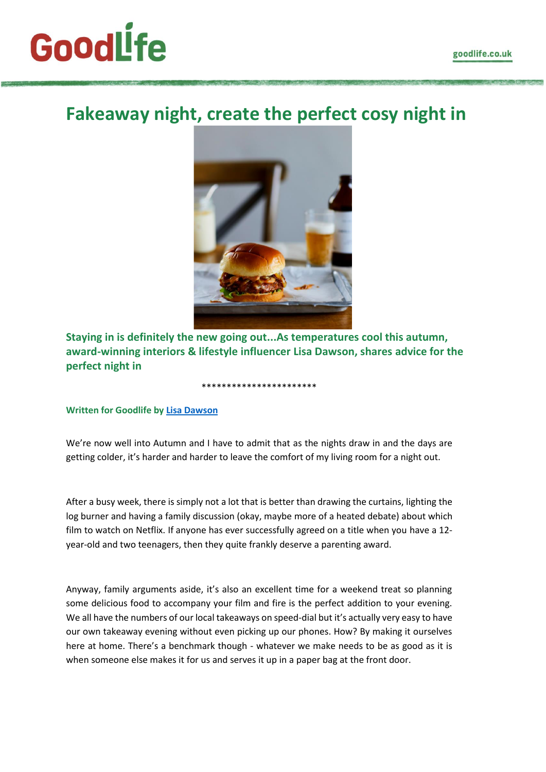# **GoodLife**

# **Fakeaway night, create the perfect cosy night in**



**Staying in is definitely the new going out...As temperatures cool this autumn, award-winning interiors & lifestyle influencer Lisa Dawson, shares advice for the perfect night in**

#### **Written for Goodlife by [Lisa Dawson](https://www.instagram.com/_lisa_dawson_/)**

We're now well into Autumn and I have to admit that as the nights draw in and the days are getting colder, it's harder and harder to leave the comfort of my living room for a night out.

\*\*\*\*\*\*\*\*\*\*\*\*\*\*\*\*\*\*\*\*\*\*\*

After a busy week, there is simply not a lot that is better than drawing the curtains, lighting the log burner and having a family discussion (okay, maybe more of a heated debate) about which film to watch on Netflix. If anyone has ever successfully agreed on a title when you have a 12 year-old and two teenagers, then they quite frankly deserve a parenting award.

Anyway, family arguments aside, it's also an excellent time for a weekend treat so planning some delicious food to accompany your film and fire is the perfect addition to your evening. We all have the numbers of our local takeaways on speed-dial but it's actually very easy to have our own takeaway evening without even picking up our phones. How? By making it ourselves here at home. There's a benchmark though - whatever we make needs to be as good as it is when someone else makes it for us and serves it up in a paper bag at the front door.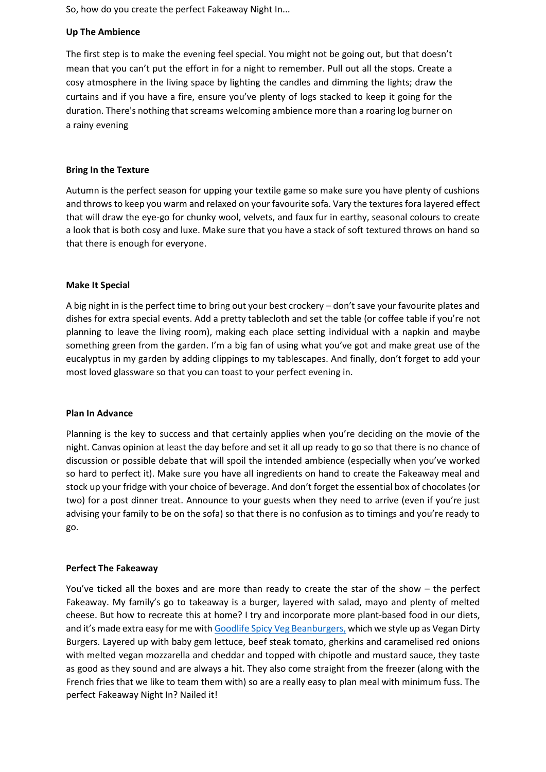So, how do you create the perfect Fakeaway Night In...

## **Up The Ambience**

The first step is to make the evening feel special. You might not be going out, but that doesn't mean that you can't put the effort in for a night to remember. Pull out all the stops. Create a cosy atmosphere in the living space by lighting the candles and dimming the lights; draw the curtains and if you have a fire, ensure you've plenty of logs stacked to keep it going for the duration. There's nothing that screams welcoming ambience more than a roaring log burner on a rainy evening

#### **Bring In the Texture**

Autumn is the perfect season for upping your textile game so make sure you have plenty of cushions and throws to keep you warm and relaxed on your favourite sofa. Vary the textures fora layered effect that will draw the eye-go for chunky wool, velvets, and faux fur in earthy, seasonal colours to create a look that is both cosy and luxe. Make sure that you have a stack of soft textured throws on hand so that there is enough for everyone.

### **Make It Special**

A big night in is the perfect time to bring out your best crockery – don't save your favourite plates and dishes for extra special events. Add a pretty tablecloth and set the table (or coffee table if you're not planning to leave the living room), making each place setting individual with a napkin and maybe something green from the garden. I'm a big fan of using what you've got and make great use of the eucalyptus in my garden by adding clippings to my tablescapes. And finally, don't forget to add your most loved glassware so that you can toast to your perfect evening in.

#### **Plan In Advance**

Planning is the key to success and that certainly applies when you're deciding on the movie of the night. Canvas opinion at least the day before and set it all up ready to go so that there is no chance of discussion or possible debate that will spoil the intended ambience (especially when you've worked so hard to perfect it). Make sure you have all ingredients on hand to create the Fakeaway meal and stock up your fridge with your choice of beverage. And don't forget the essential box of chocolates (or two) for a post dinner treat. Announce to your guests when they need to arrive (even if you're just advising your family to be on the sofa) so that there is no confusion as to timings and you're ready to go.

#### **Perfect The Fakeaway**

You've ticked all the boxes and are more than ready to create the star of the show – the perfect Fakeaway. My family's go to takeaway is a burger, layered with salad, mayo and plenty of melted cheese. But how to recreate this at home? I try and incorporate more plant-based food in our diets, and it's made extra easy for me with [Goodlife Spicy Veg Beanburgers,](https://www.goodlife.co.uk/2018/11/16/spicy-veg-beanburger-with-a-kick-of-chipotle-chilli/) which we style up as Vegan Dirty Burgers. Layered up with baby gem lettuce, beef steak tomato, gherkins and caramelised red onions with melted vegan mozzarella and cheddar and topped with chipotle and mustard sauce, they taste as good as they sound and are always a hit. They also come straight from the freezer (along with the French fries that we like to team them with) so are a really easy to plan meal with minimum fuss. The perfect Fakeaway Night In? Nailed it!